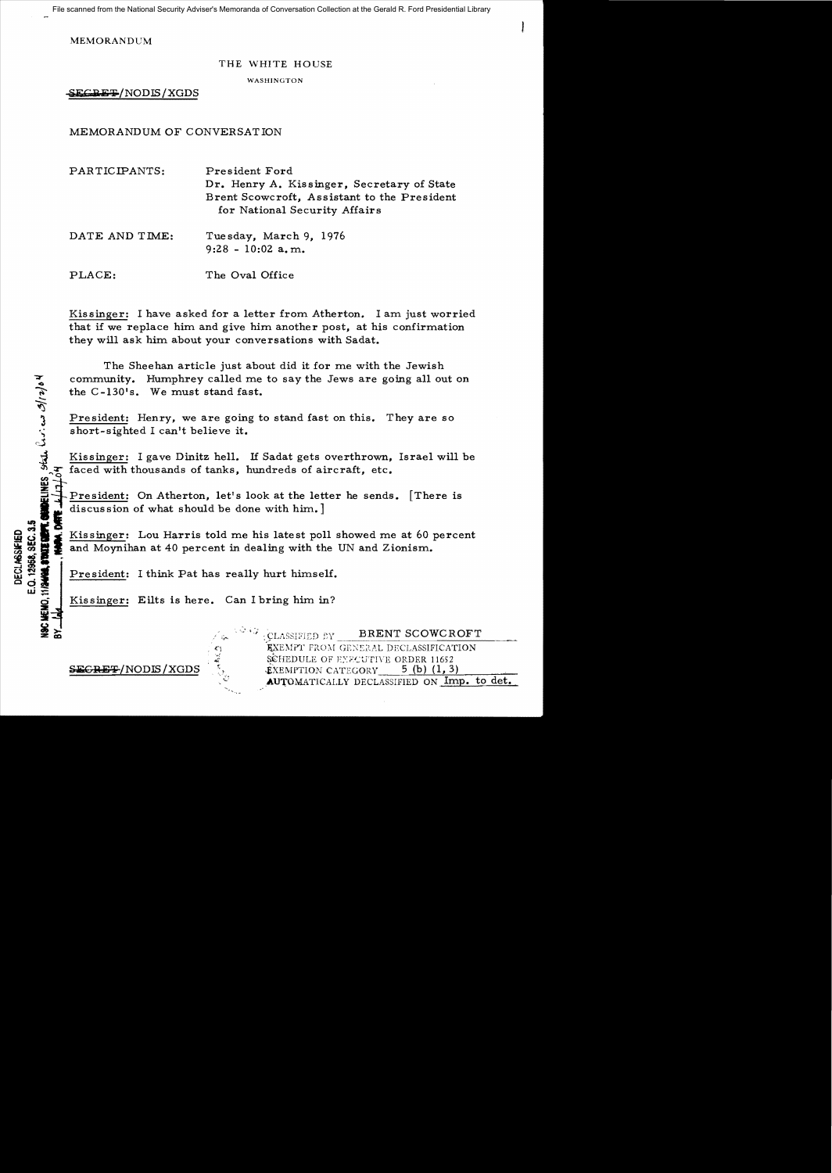File scanned from the National Security Adviser's Memoranda of Conversation Collection at the Gerald R. Ford Presidential Library

MEMORANDUM

## THE WHITE HOUSE

WASHINGTON

SECRET/NODIS/XGDS

MEMORANDUM OF CONVERSATION

| PARTICIPANTS:  | President Ford<br>Dr. Henry A. Kissinger, Secretary of State<br>Brent Scowcroft, Assistant to the President<br>for National Security Affairs |
|----------------|----------------------------------------------------------------------------------------------------------------------------------------------|
| DATE AND TIME: | Tuesday, March 9, 1976<br>$9:28 - 10:02$ a.m.                                                                                                |
| PLACE:         | The Oval Office                                                                                                                              |

Kissinger: I have asked for a letter from Atherton. I am just worried that if we replace him and give him another post, at his confirmation they will ask him about your conversations with Sadat.

The Sheehan article just about did it for me with the Jewish community. Humphrey called me to say the Jews are going all out on the  $C-130$ 's. We must stand fast.

President: Henry, we are going to stand fast on this. They are so short-sighted I can't believe it.

Kissinger: I gave Dinitz hell. If Sadat gets overthrown, Israel will be  $\frac{1}{2}$  faced with thousands of tanks, hundreds of aircraft, etc.

President: On Atherton, let's look at the letter he sends. [There is discussion of what should be done with him.]

fi ci **II**<br> **Exercise of City of City of City of City of City of City and Moynihan at 40 percent in dealing with the UN and Zionism.<br>
<b>Exercise and Moynihan at 40 percent in dealing with the UN and Zionism.**<br> **City of City** and Moynihan at 40 percent in dealing with the UN and Zionism.

**aillet**: I think Pat has really hurt himself.<br>  $\begin{array}{c}\n\mathbf{a} \\
\mathbf{b} \\
\mathbf{c}\n\end{array}$ 

Kissinger: Eilts is here. Can I bring him in?

 $\frac{c_3}{\tilde{c}}$ 

BRENT SCOWCROFT CLASSIFIED BY EXEMPT' FROM GENERAL DECLASSIFICATION SCHEDULE OF ENECUTIVE ORDER 11652  $SEGREF/NODIS/XGDS$  ...  $\&$ XEMPTION CATEGORY 5 (b) (1,3) AUTOMATICALLY DECLASSIFIED ON Imp. to det.

**SINGLINES** State Crising /2/12/04

**VSC MEMO,** 

 $\geq$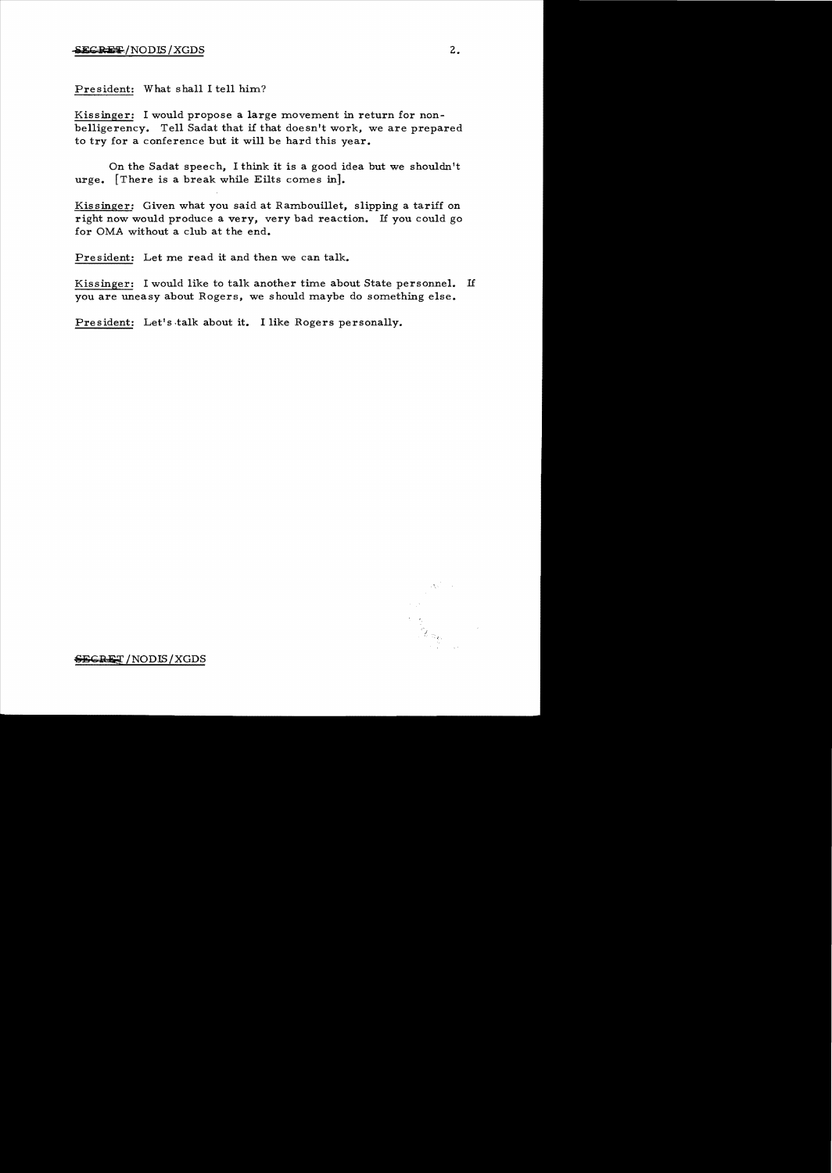President: What shall I tell him?

Kissinger: I would propose a large movement in return for nonbelligerency. Tell Sadat that if that doesn't work, we are prepared to try for a conference but it will be hard this year.

On the Sadat speech, I think it is a good idea but we shouldn't urge. [There is a break while Eilts comes in].

Kissinger: Given what you said at Rambouillet, slipping a tariff on right now would produce a very, very bad reaction. If you could go for OMA without a club at the end.

President: Let me read it and then we can talk.

Kissinger: I would like to talk another time about State personnel. If you are uneasy about Rogers, we should maybe do something else.

President: Let's talk about it. I like Rogers personally.

*.j*  : <sup>~</sup>

SECRET/NODIS/XGDS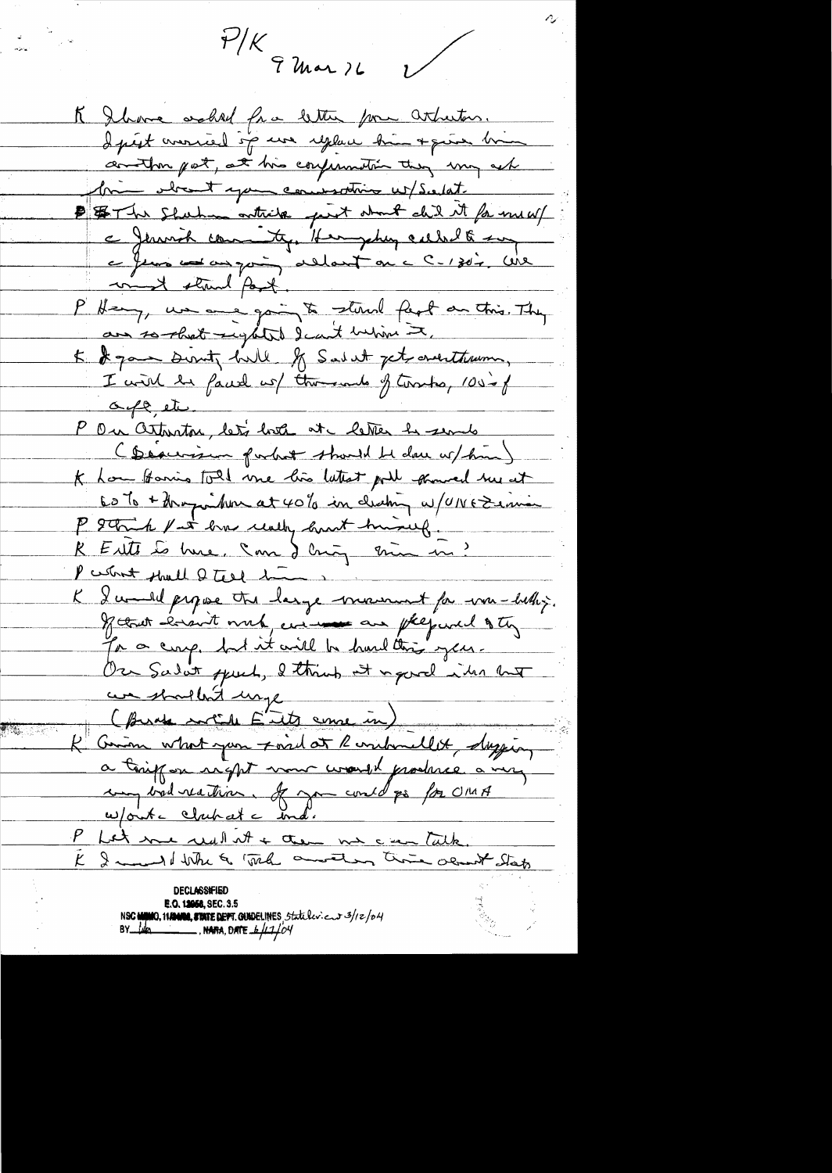$\frac{1}{4}$  ( ) War ) L

 $\bigvee$ 

K Ihave asked fra letter for attactor. I prest avanced sig use replace him + quier bin contin pat, at his confunction they may ask bien obtaint your commodities us/ Scotat. B \$ The Shuhan outside pert about del it for me w/ a Jermich committy, Hermychey called any eferme and an quinq allot on a C-1302, Wil most stand post. P Henry, un anné going to stand feut an this They 5. It gave Dunty hill of Salat jet overtheron, I will be faced us there and of territor 100-0f oute etc. P On artunton, let's lote at letter be sends (Description forbot should be done w/him) K how forming told me his latest poil general hus at 60% + thoughton at 40% in deching w/UNEZenia P Strik fat has really hart himself. R Eits to hue, Inn d'Ing min in? P cesterat should 2 test 1-K I would propose the large movement for war-betting. of that ensuit with, with an plequal of the for a crosp. but it will be hard this year. Our Sadat speech, I think it is good in my we shallen't unge (Burde sort a E'its come in) I Comm what you ford at Randomellet, dagging a tempor right want would produce a very un vid reation. It gow could go for UMA Won't clahat ind.<br>P Let me real at + then no commitable. E I mund where wal amount this about State declass#hed E.O. 12058, SEC. 3.5 NSC MINIO, 11/2010, STATE DEPT. QUIDELINES Statuler : cut 3/12/04 BY  $\mu$   $\mu$